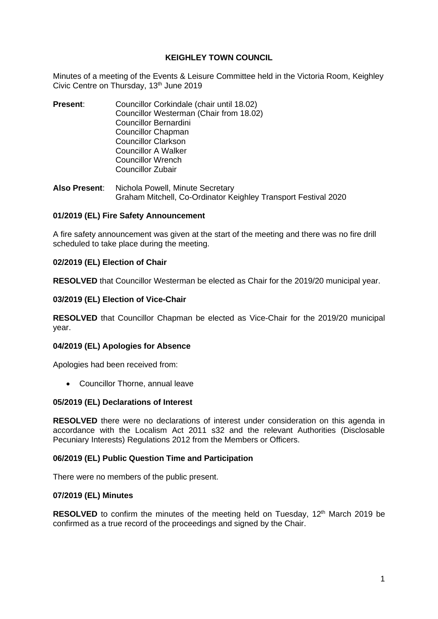## **KEIGHLEY TOWN COUNCIL**

Minutes of a meeting of the Events & Leisure Committee held in the Victoria Room, Keighley Civic Centre on Thursday, 13<sup>th</sup> June 2019

- **Present**: Councillor Corkindale (chair until 18.02) Councillor Westerman (Chair from 18.02) Councillor Bernardini Councillor Chapman Councillor Clarkson Councillor A Walker Councillor Wrench Councillor Zubair
- **Also Present**: Nichola Powell, Minute Secretary Graham Mitchell, Co-Ordinator Keighley Transport Festival 2020

## **01/2019 (EL) Fire Safety Announcement**

A fire safety announcement was given at the start of the meeting and there was no fire drill scheduled to take place during the meeting.

## **02/2019 (EL) Election of Chair**

**RESOLVED** that Councillor Westerman be elected as Chair for the 2019/20 municipal year.

## **03/2019 (EL) Election of Vice-Chair**

**RESOLVED** that Councillor Chapman be elected as Vice-Chair for the 2019/20 municipal year.

#### **04/2019 (EL) Apologies for Absence**

Apologies had been received from:

• Councillor Thorne, annual leave

#### **05/2019 (EL) Declarations of Interest**

**RESOLVED** there were no declarations of interest under consideration on this agenda in accordance with the Localism Act 2011 s32 and the relevant Authorities (Disclosable Pecuniary Interests) Regulations 2012 from the Members or Officers.

#### **06/2019 (EL) Public Question Time and Participation**

There were no members of the public present.

#### **07/2019 (EL) Minutes**

**RESOLVED** to confirm the minutes of the meeting held on Tuesday, 12<sup>th</sup> March 2019 be confirmed as a true record of the proceedings and signed by the Chair.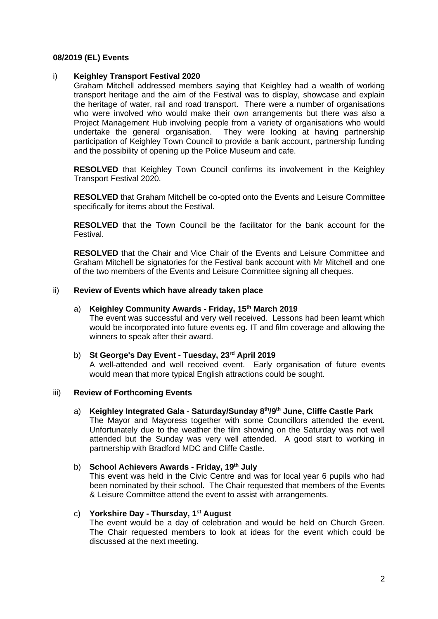## **08/2019 (EL) Events**

## i) **Keighley Transport Festival 2020**

Graham Mitchell addressed members saying that Keighley had a wealth of working transport heritage and the aim of the Festival was to display, showcase and explain the heritage of water, rail and road transport. There were a number of organisations who were involved who would make their own arrangements but there was also a Project Management Hub involving people from a variety of organisations who would undertake the general organisation. They were looking at having partnership participation of Keighley Town Council to provide a bank account, partnership funding and the possibility of opening up the Police Museum and cafe.

**RESOLVED** that Keighley Town Council confirms its involvement in the Keighley Transport Festival 2020.

**RESOLVED** that Graham Mitchell be co-opted onto the Events and Leisure Committee specifically for items about the Festival.

**RESOLVED** that the Town Council be the facilitator for the bank account for the Festival.

**RESOLVED** that the Chair and Vice Chair of the Events and Leisure Committee and Graham Mitchell be signatories for the Festival bank account with Mr Mitchell and one of the two members of the Events and Leisure Committee signing all cheques.

#### ii) **Review of Events which have already taken place**

#### a) **Keighley Community Awards - Friday, 15th March 2019**

The event was successful and very well received. Lessons had been learnt which would be incorporated into future events eg. IT and film coverage and allowing the winners to speak after their award.

#### b) **St George's Day Event - Tuesday, 23rd April 2019**

A well-attended and well received event. Early organisation of future events would mean that more typical English attractions could be sought.

#### iii) **Review of Forthcoming Events**

#### a) **Keighley Integrated Gala - Saturday/Sunday 8th/9th June, Cliffe Castle Park**

The Mayor and Mayoress together with some Councillors attended the event. Unfortunately due to the weather the film showing on the Saturday was not well attended but the Sunday was very well attended. A good start to working in partnership with Bradford MDC and Cliffe Castle.

#### b) **School Achievers Awards - Friday, 19th July**

This event was held in the Civic Centre and was for local year 6 pupils who had been nominated by their school. The Chair requested that members of the Events & Leisure Committee attend the event to assist with arrangements.

# c) **Yorkshire Day - Thursday, 1st August**

The event would be a day of celebration and would be held on Church Green. The Chair requested members to look at ideas for the event which could be discussed at the next meeting.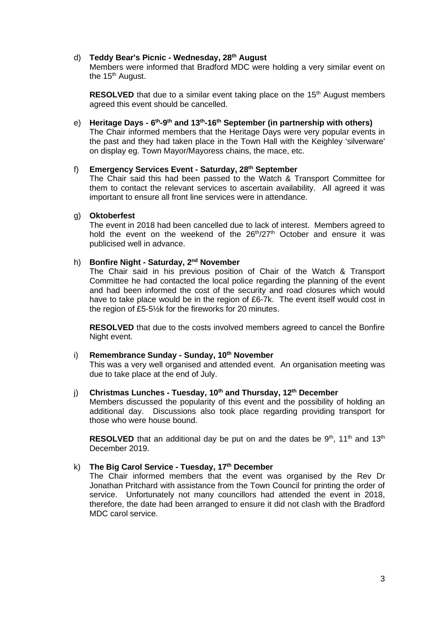## d) **Teddy Bear's Picnic - Wednesday, 28th August**

Members were informed that Bradford MDC were holding a very similar event on the 15<sup>th</sup> August.

**RESOLVED** that due to a similar event taking place on the 15<sup>th</sup> August members agreed this event should be cancelled.

e) **Heritage Days - 6 th -9 th and 13th -16th September (in partnership with others)** The Chair informed members that the Heritage Days were very popular events in the past and they had taken place in the Town Hall with the Keighley 'silverware' on display eg. Town Mayor/Mayoress chains, the mace, etc.

## f) **Emergency Services Event - Saturday, 28th September**

The Chair said this had been passed to the Watch & Transport Committee for them to contact the relevant services to ascertain availability. All agreed it was important to ensure all front line services were in attendance.

#### g) **Oktoberfest**

The event in 2018 had been cancelled due to lack of interest. Members agreed to hold the event on the weekend of the 26<sup>th</sup>/27<sup>th</sup> October and ensure it was publicised well in advance.

## h) **Bonfire Night - Saturday, 2nd November**

The Chair said in his previous position of Chair of the Watch & Transport Committee he had contacted the local police regarding the planning of the event and had been informed the cost of the security and road closures which would have to take place would be in the region of £6-7k. The event itself would cost in the region of £5-5½k for the fireworks for 20 minutes.

**RESOLVED** that due to the costs involved members agreed to cancel the Bonfire Night event.

## i) **Remembrance Sunday - Sunday, 10th November**

This was a very well organised and attended event. An organisation meeting was due to take place at the end of July.

## j) **Christmas Lunches - Tuesday, 10th and Thursday, 12th December**

Members discussed the popularity of this event and the possibility of holding an additional day. Discussions also took place regarding providing transport for those who were house bound.

**RESOLVED** that an additional day be put on and the dates be  $9<sup>th</sup>$ , 11<sup>th</sup> and 13<sup>th</sup> December 2019.

## k) **The Big Carol Service - Tuesday, 17th December**

The Chair informed members that the event was organised by the Rev Dr Jonathan Pritchard with assistance from the Town Council for printing the order of service. Unfortunately not many councillors had attended the event in 2018, therefore, the date had been arranged to ensure it did not clash with the Bradford MDC carol service.